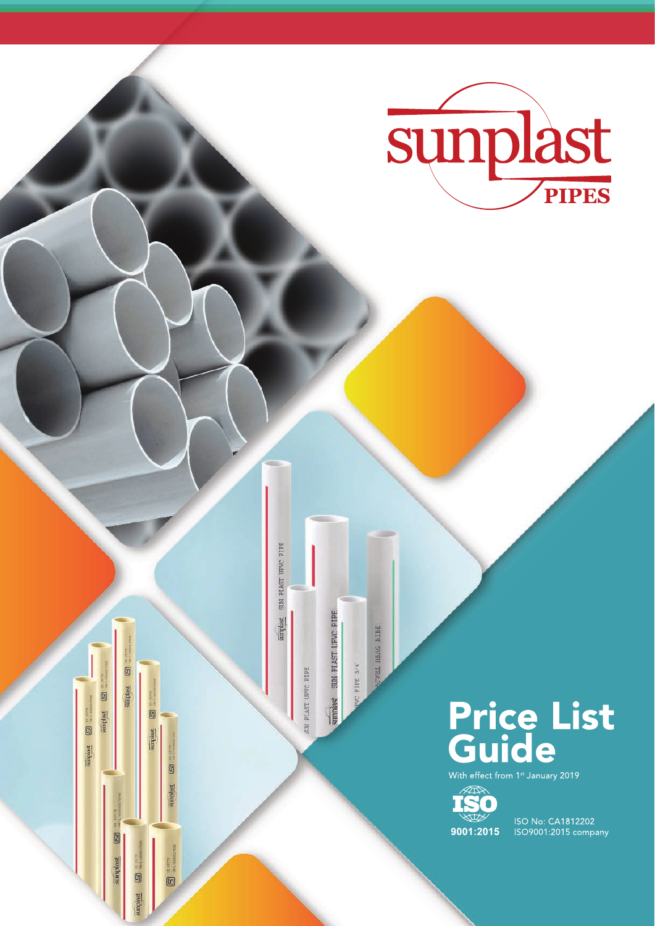

Price List



sumplast SUM PLAST UPVC PIPE

0

aimplast

ū plast

0

 $\mathbf{B}$  and  $\mathbf{a}$ 

sunplest (E)

 $\boxed{\Box}$ 

sumplast

G

mplast 8 million

sumlast SIM PLAST LIPVC PTPE

SUN PLAST UPVC PIPE

**SYE 2414** 

**V21 NEAG BIBE** 

 $9001:2015$ 

ISO No: CA1812202<br>ISO9001:2015 company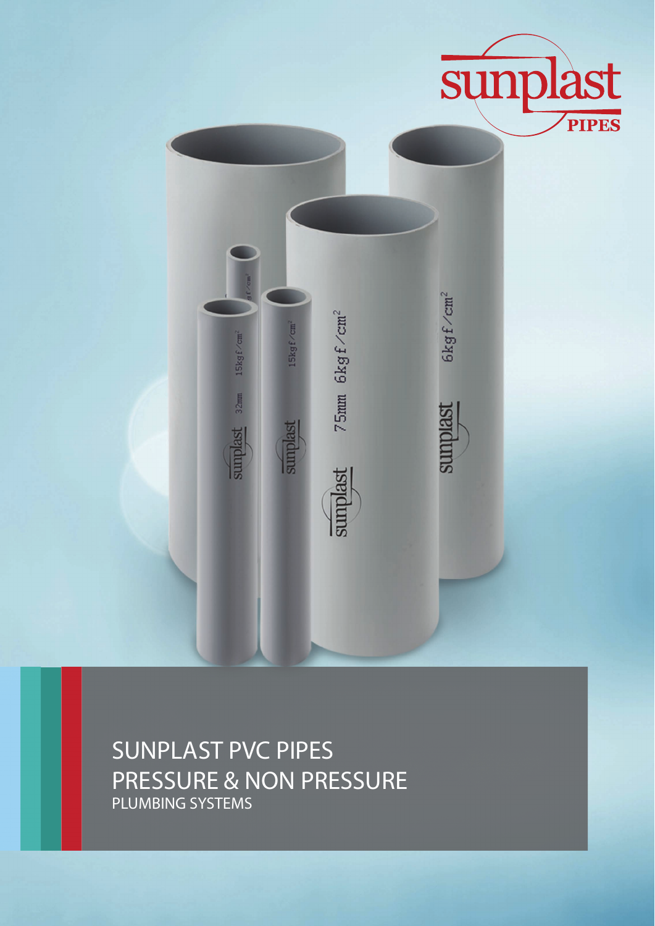

**SUNPLAST PVC PIPES PRESSURE & NON PRESSURE PLUMBING SYSTEMS**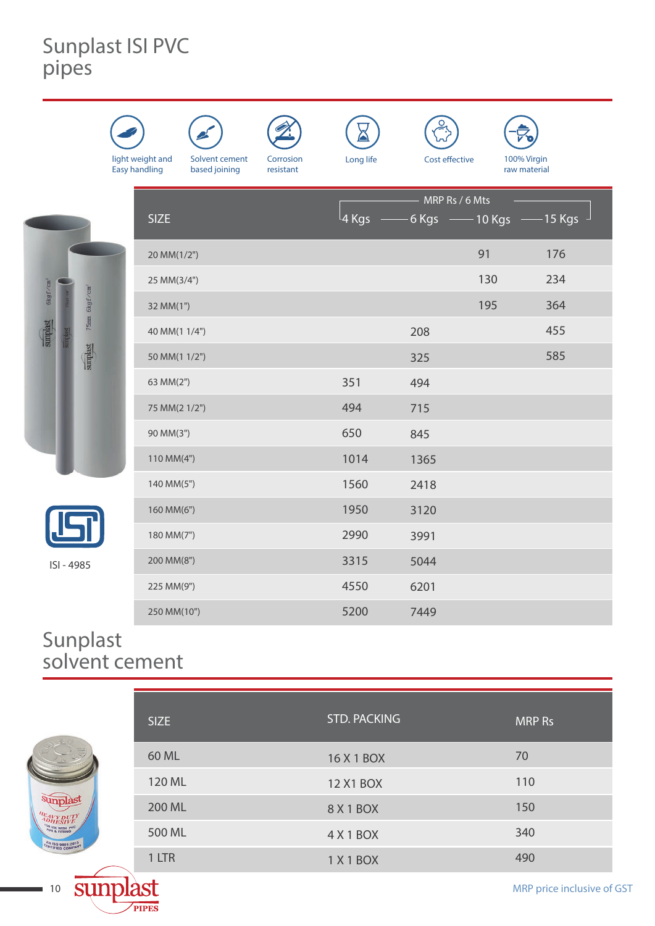## **Sunplast ISI PVC pipes**



## **Sunplast solvent cement**

10

sunp

**PIPES** 

| <b>PIPE &amp; FITTING</b><br><b>CERTIFIED COMPANY</b> | <b>SIZE</b> | <b>STD. PACKING</b> | <b>MRP Rs</b> |
|-------------------------------------------------------|-------------|---------------------|---------------|
|                                                       | 60 ML       | 16 X 1 BOX          | 70            |
|                                                       | 120 ML      | 12 X1 BOX           | 110           |
|                                                       | 200 ML      | 8 X 1 BOX           | 150           |
|                                                       | 500 ML      | 4 X 1 BOX           | 340           |
|                                                       | 1 LTR       | 1 X 1 BOX           | 490           |
|                                                       |             |                     |               |

MRP price inclusive of GST